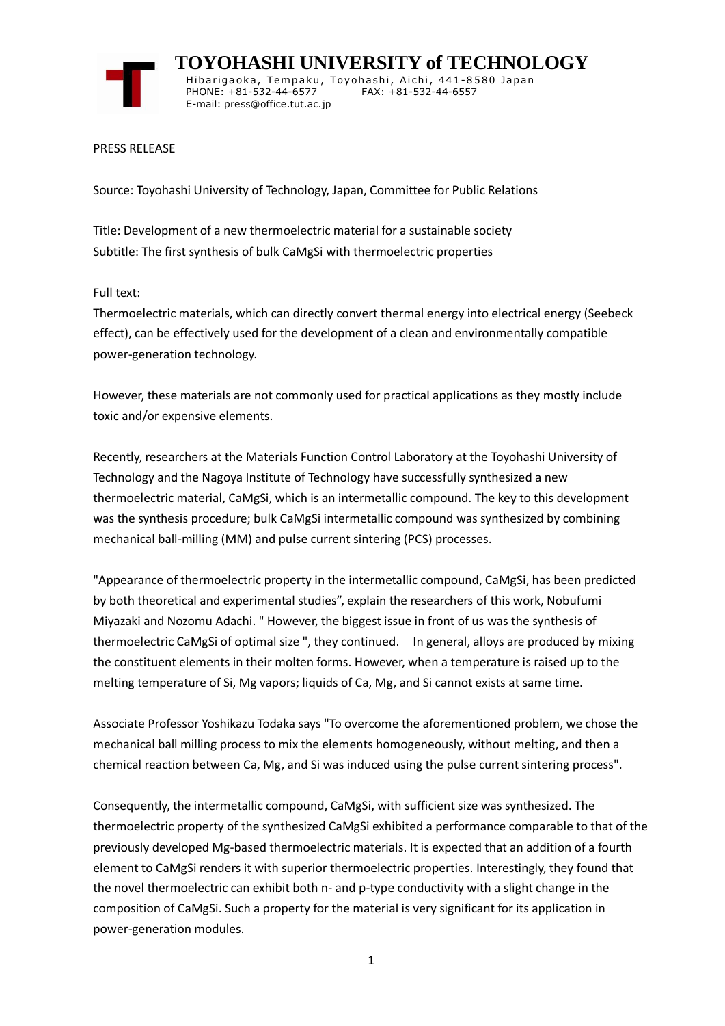

 **TOYOHASHI UNIVERSITY of TECHNOLOGY** Hibarigaoka, Tempaku, Toyohashi, Aichi, 441-8580 Japan PHONE: +81-532-44-6577 FAX: +81-532-44-6557 E-mail: press@office.tut.ac.jp

PRESS RELEASE

Source: Toyohashi University of Technology, Japan, Committee for Public Relations

Title: Development of a new thermoelectric material for a sustainable society Subtitle: The first synthesis of bulk CaMgSi with thermoelectric properties

Full text:

Thermoelectric materials, which can directly convert thermal energy into electrical energy (Seebeck effect), can be effectively used for the development of a clean and environmentally compatible power-generation technology.

However, these materials are not commonly used for practical applications as they mostly include toxic and/or expensive elements.

Recently, researchers at the Materials Function Control Laboratory at the Toyohashi University of Technology and the Nagoya Institute of Technology have successfully synthesized a new thermoelectric material, CaMgSi, which is an intermetallic compound. The key to this development was the synthesis procedure; bulk CaMgSi intermetallic compound was synthesized by combining mechanical ball-milling (MM) and pulse current sintering (PCS) processes.

"Appearance of thermoelectric property in the intermetallic compound, CaMgSi, has been predicted by both theoretical and experimental studies", explain the researchers of this work, Nobufumi Miyazaki and Nozomu Adachi. " However, the biggest issue in front of us was the synthesis of thermoelectric CaMgSi of optimal size ", they continued. In general, alloys are produced by mixing the constituent elements in their molten forms. However, when a temperature is raised up to the melting temperature of Si, Mg vapors; liquids of Ca, Mg, and Si cannot exists at same time.

Associate Professor Yoshikazu Todaka says "To overcome the aforementioned problem, we chose the mechanical ball milling process to mix the elements homogeneously, without melting, and then a chemical reaction between Ca, Mg, and Si was induced using the pulse current sintering process".

Consequently, the intermetallic compound, CaMgSi, with sufficient size was synthesized. The thermoelectric property of the synthesized CaMgSi exhibited a performance comparable to that of the previously developed Mg-based thermoelectric materials. It is expected that an addition of a fourth element to CaMgSi renders it with superior thermoelectric properties. Interestingly, they found that the novel thermoelectric can exhibit both n- and p-type conductivity with a slight change in the composition of CaMgSi. Such a property for the material is very significant for its application in power-generation modules.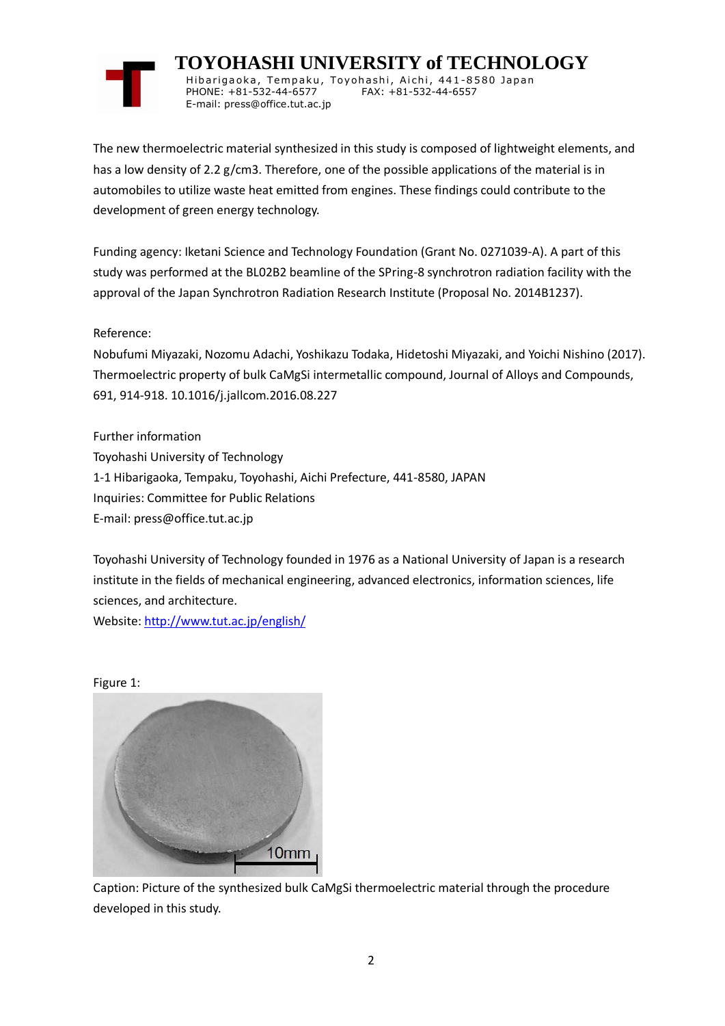

 **TOYOHASHI UNIVERSITY of TECHNOLOGY** Hibarigaoka, Tempaku, Toyohashi, Aichi, 441-8580 Japan PHONE: +81-532-44-6577 FAX: +81-532-44-6557 E-mail: press@office.tut.ac.jp

The new thermoelectric material synthesized in this study is composed of lightweight elements, and has a low density of 2.2 g/cm3. Therefore, one of the possible applications of the material is in automobiles to utilize waste heat emitted from engines. These findings could contribute to the development of green energy technology.

Funding agency: Iketani Science and Technology Foundation (Grant No. 0271039-A). A part of this study was performed at the BL02B2 beamline of the SPring-8 synchrotron radiation facility with the approval of the Japan Synchrotron Radiation Research Institute (Proposal No. 2014B1237).

Reference:

Nobufumi Miyazaki, Nozomu Adachi, Yoshikazu Todaka, Hidetoshi Miyazaki, and Yoichi Nishino (2017). Thermoelectric property of bulk CaMgSi intermetallic compound, Journal of Alloys and Compounds, 691, 914-918. 10.1016/j.jallcom.2016.08.227

Further information Toyohashi University of Technology 1-1 Hibarigaoka, Tempaku, Toyohashi, Aichi Prefecture, 441-8580, JAPAN Inquiries: Committee for Public Relations E-mail: press@office.tut.ac.jp

Toyohashi University of Technology founded in 1976 as a National University of Japan is a research institute in the fields of mechanical engineering, advanced electronics, information sciences, life sciences, and architecture.

Website[: http://www.tut.ac.jp/english/](https://www.tut.ac.jp/english/)

Figure 1:



Caption: Picture of the synthesized bulk CaMgSi thermoelectric material through the procedure developed in this study.